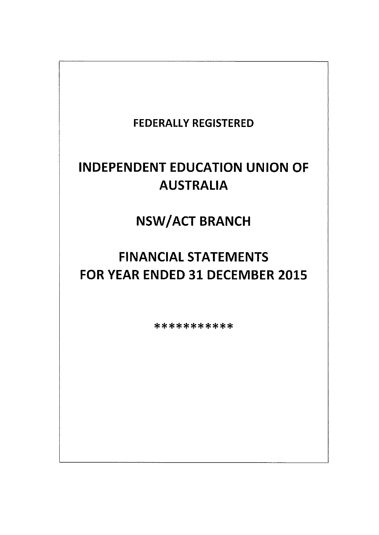# FEDERALLY REGISTERED

# INDEPENDENT EDUCATION UNION OF AUSTRALIA

NSW/ACT BRANCH

# FINANCIAL STATEMENTS FOR YEAR ENDED 31 DECEMBER 2015

\*\*\*\*\*\*\*\*\*\*\*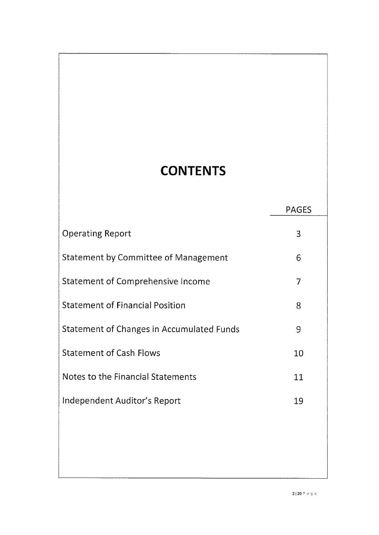# **CONTENTS**

# PAGES

| <b>Operating Report</b>                   | 3  |
|-------------------------------------------|----|
| Statement by Committee of Management      | 6  |
| Statement of Comprehensive Income         | 7  |
| <b>Statement of Financial Position</b>    | 8  |
| Statement of Changes in Accumulated Funds | 9  |
| <b>Statement of Cash Flows</b>            | 10 |
| Notes to the Financial Statements         | 11 |
| Independent Auditor's Report              | 19 |
|                                           |    |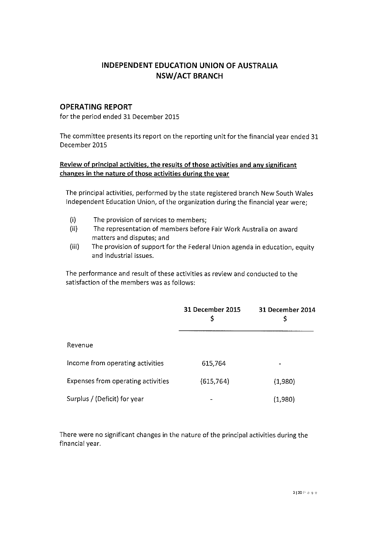## INDEPENDENT EDUCATION UNION OF AUSTRALIA NSW/ACT BRANCH

### OPERATING REPORT

for the period ended 31 December 2015

The committee presents its report on the reporting unit for the financial year ended 31 December 2015

### Review of principal activities, the results of those activities and any significant changes in the nature of those activities during the year

The principal activities, performed by the state registered branch New South Wales Independent Education Union, of the organization during the financial year were;

- (i) The provision of services to members;
- (ii) The representation of members before Fair Work Australia on award matters and disputes; and
- The provision of support for the Federal Union agenda in education, equity and industrial issues. (iii)

The performance and result of these activities as review and conducted to the satisfaction of the members was as follows:

|                                           | 31 December 2015<br>\$ | 31 December 2014<br>Ş |
|-------------------------------------------|------------------------|-----------------------|
| Revenue                                   |                        |                       |
| Income from operating activities          | 615,764                |                       |
| <b>Expenses from operating activities</b> | (615, 764)             | (1,980)               |
| Surplus / (Deficit) for year              |                        | (1,980)               |

There were no significant changes in the nature of the principal activities during the financial year.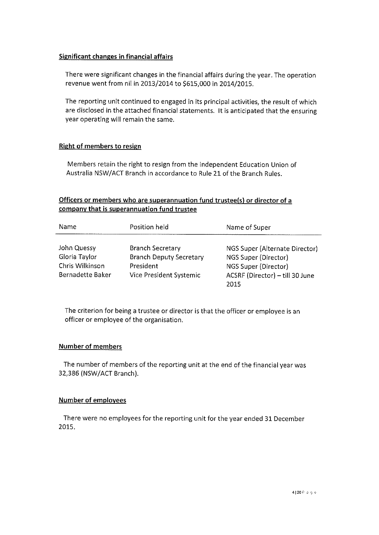#### Significant changes in financial affairs

There were significant changes in the financial affairs during the year. The operation revenue went from nil in 2013/2014 to \$615,000 in 2014/2015.

The reporting unit continued to engaged in its principal activities, the result of which are disclosed in the attached financial statements. It is anticipated that the ensuring Year operating will remain the same.

#### Right of members to resign

Members retain the right to resign from the independent Education Union of Australia NSW/ACT Branch in accordance to Rule 21 of the Branch Rules.

#### Officers or members who are superannuation fund trustee(s) or director of a company that is superannuation fund trustee

| Name             | Position held                  | Name of Super                   |
|------------------|--------------------------------|---------------------------------|
| John Quessy      | <b>Branch Secretary</b>        | NGS Super (Alternate Director)  |
| Gloria Taylor    | <b>Branch Deputy Secretary</b> | NGS Super (Director)            |
| Chris Wilkinson  | President                      | NGS Super (Director)            |
| Bernadette Baker | Vice President Systemic        | ACSRF (Director) - till 30 June |
|                  |                                | 2015                            |

The criterion for being a trustee or director is that the officer or employee is an officer or employee of the organisation

#### Number of members

The number of members of the reporting unit at the end of the financial year was 32,386 (NSW/ACT Branch).

#### Number of employees

There were no employees for the reporting unit for the year ended 31 December 2015.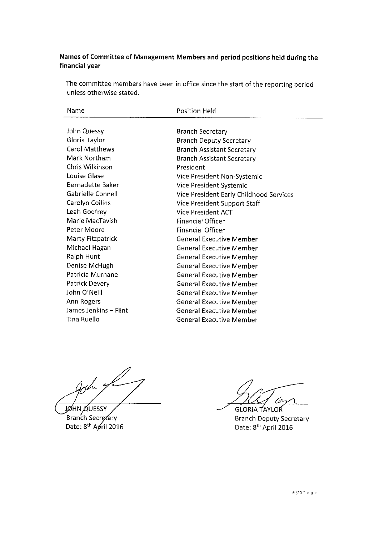### Names of Committee of Management Members and period positions held during the financial year

The committee members have been in office since the start of the reporting period unless otherwise stated.

| Name                  | <b>Position Held</b>                    |
|-----------------------|-----------------------------------------|
|                       |                                         |
| John Quessy           | Branch Secretary                        |
| Gloria Taylor         | <b>Branch Deputy Secretary</b>          |
| <b>Carol Matthews</b> | <b>Branch Assistant Secretary</b>       |
| Mark Northam          | <b>Branch Assistant Secretary</b>       |
| Chris Wilkinson       | President                               |
| Louise Glase          | Vice President Non-Systemic             |
| Bernadette Baker      | Vice President Systemic                 |
| Gabrielle Connell     | Vice President Early Childhood Services |
| Carolyn Collins       | Vice President Support Staff            |
| Leah Godfrey          | Vice President ACT                      |
| Marie MacTavish       | <b>Financial Officer</b>                |
| Peter Moore           | <b>Financial Officer</b>                |
| Marty Fitzpatrick     | <b>General Executive Member</b>         |
| Michael Hagan         | <b>General Executive Member</b>         |
| Ralph Hunt            | <b>General Executive Member</b>         |
| Denise McHugh         | <b>General Executive Member</b>         |
| Patricia Murnane      | <b>General Executive Member</b>         |
| Patrick Devery        | <b>General Executive Member</b>         |
| John O'Neill          | <b>General Executive Member</b>         |
| Ann Rogers            | <b>General Executive Member</b>         |
| James Jenkins - Flint | <b>General Executive Member</b>         |
| Tina Ruello           | <b>General Executive Member</b>         |
|                       |                                         |

John of

JØHN ØUESSY Branch Secretary Date: 8<sup>th</sup> April 2016

**GLORIA TAYLOR** a

Branch Deputy Secretary Date: 8<sup>th</sup> April 2016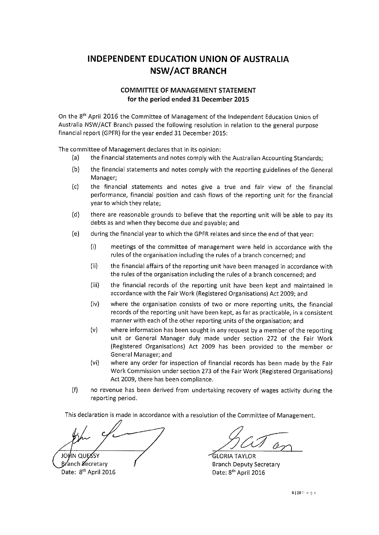# INDEPENDENT EDUCATION UNION OF AUSTRALIA NSW/ACT BRANCH

#### COMMITTEE OF MANAGEMENT STATEMENT for the period ended 31 December 2015

On the 8<sup>th</sup> April 2016 the Committee of Management of the Independent Education Union of Australia NSW/ACT Branch passed the following resolution in relation to the general purpose financial report (GPFR) for the year ended 31 December 2015:

The committee of Management declares that in its opinion:

- (a) the financial statements and notes comply with the Australian Accounting Standards;
- (b) the financial statements and notes comply with the reporting guidelines of the General Manager;
- (c) the financial statements and notes give a true and fair view of the financial performance, financial position and cash flows of the reporting unit for the financial Year to which they relate;
- (d) there are reasonable grounds to believe that the reporting unit will be able to pay its debts as and when they become due and payable; and
- (e) during the financial year to which the GPFR relates and since the end of that year:
	- (1) meetings of the committee of management were held in accordance with the rules of the organisation including the rules of a branch concerned; and
	- (ii) the financial affairs of the reporting unit have been managed in accordance with the rules of the organisation including the rules of a branch concerned; and
	- (iii) the financial records of the reporting unit have been kept and maintained in accordance with the Fair Work (Registered Organisations) Act 2009; and
	- (iv) where the organisation consists of two or more reporting units, the financial records of the reporting unit have been kept, as far as practicable, in a consistent manner with each of the other reporting units of the organisation; and
	- (v) where information has been sought in any request by a member of the reporting unit or General Manager duly made under section 272 of the Fair Work (Registered Organisations) Act 2009 has been provided to the member or General Manager; and
	- (vi) where any order for inspection of financial records has been made by the Fair Work Commission under section 273 of the Fair Work (Registered Organisations) Act 2009, there has been compliance.
- (f) no revenue has been derived from undertaking recovery of wages activity during the reporting period.

This declaration is made in accordance with a resolution of the Committee of Management.

JOHN QUE **Branch Secretary** 

Date: 8<sup>th</sup> April 2016

Pe-

GLORIA TAYLOR Branch Deputy Secretary Date: 8<sup>th</sup> April 2016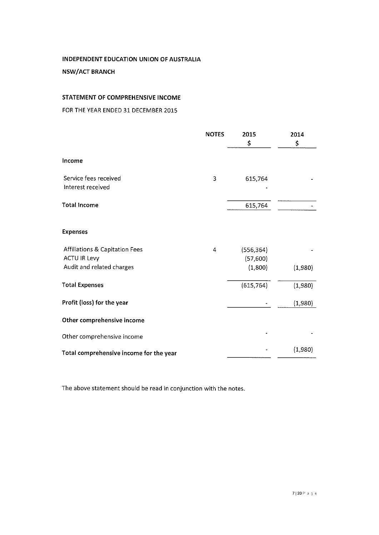#### NSW/ACT BRANCH

#### STATEMENT OF COMPREHENSIVE INCOME

FOR THE YEAR ENDED 31 DECEMBER 2015

|                                                                                               | <b>NOTES</b> | 2015<br>\$                        | 2014<br>\$ |
|-----------------------------------------------------------------------------------------------|--------------|-----------------------------------|------------|
| Income                                                                                        |              |                                   |            |
| Service fees received<br>Interest received                                                    | 3            | 615,764                           |            |
| <b>Total Income</b>                                                                           |              | 615,764                           |            |
| <b>Expenses</b>                                                                               |              |                                   |            |
| <b>Affiliations &amp; Capitation Fees</b><br><b>ACTU IR Levy</b><br>Audit and related charges | 4            | (556, 364)<br>(57,600)<br>(1,800) | (1,980)    |
| <b>Total Expenses</b>                                                                         |              | (615, 764)                        | (1,980)    |
| Profit (loss) for the year                                                                    |              |                                   | (1,980)    |
| Other comprehensive income                                                                    |              |                                   |            |
| Other comprehensive income                                                                    |              |                                   |            |
| Total comprehensive income for the year                                                       |              |                                   | (1,980)    |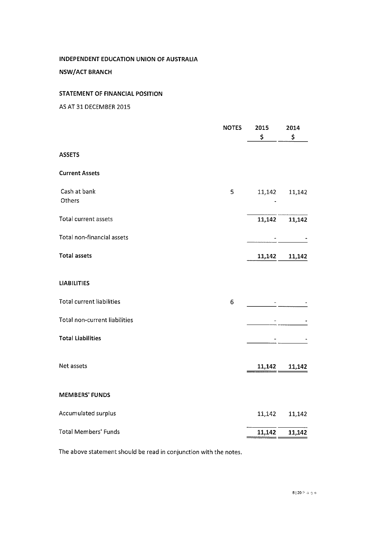NSW/ACT BRANCH

## STATEMENT OF FINANCIAL POSITION

As AT 31 DECEMBER 2015

|                                  | <b>NOTES</b> | 2015<br>\$ | 2014<br>\$ |
|----------------------------------|--------------|------------|------------|
| <b>ASSETS</b>                    |              |            |            |
| <b>Current Assets</b>            |              |            |            |
| Cash at bank<br>Others           | 5            | 11,142     | 11,142     |
| Total current assets             |              | 11,142     | 11,142     |
| Total non-financial assets       |              |            |            |
| <b>Total assets</b>              |              | 11,142     | 11,142     |
| <b>LIABILITIES</b>               |              |            |            |
| <b>Total current liabilities</b> | 6            |            |            |
| Total non-current liabilities    |              |            |            |
| <b>Total Liabilities</b>         |              |            |            |
| Net assets                       |              | 11,142     | 11,142     |
| <b>MEMBERS' FUNDS</b>            |              |            |            |
| Accumulated surplus              |              | 11,142     | 11,142     |
| <b>Total Members' Funds</b>      |              | 11,142     | 11,142     |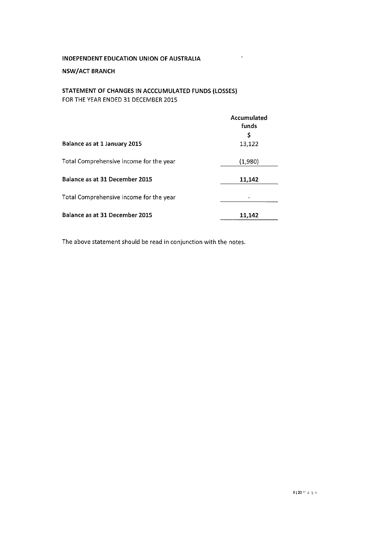#### NSW/ACT BRANCH

### STATEMENT OF CHANGES IN ACCCUMULATED FUNDS (LOSSES) FOR THE YEAR ENDED 31 DECEMBER 2015

|                                         | Accumulated<br>funds |
|-----------------------------------------|----------------------|
|                                         | \$                   |
| Balance as at 1 January 2015            | 13,122               |
| Total Comprehensive income for the year | (1,980)              |
| Balance as at 31 December 2015          | 11,142               |
| Total Comprehensive income for the year |                      |
| Balance as at 31 December 2015          | 11,142               |

 $\mathcal{A}^{\mathcal{A}}$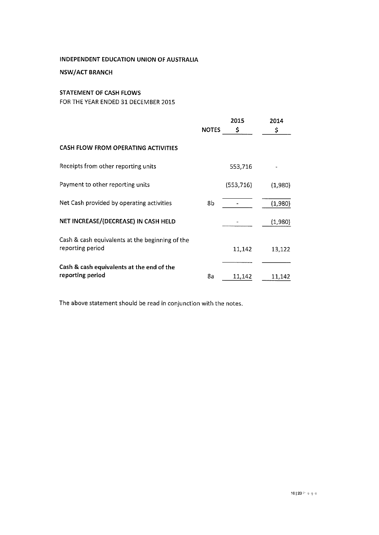#### NSW/ACT BRANCH

#### STATEMENT OF CASH FLOWS

FOR THE YEAR ENDED 31 DECEMBER 2015

|                                                                     | <b>NOTES</b> | 2015<br>\$ | 2014<br>\$ |
|---------------------------------------------------------------------|--------------|------------|------------|
| CASH FLOW FROM OPERATING ACTIVITIES                                 |              |            |            |
| Receipts from other reporting units                                 |              | 553,716    |            |
| Payment to other reporting units                                    |              | (553, 716) | (1,980)    |
| Net Cash provided by operating activities                           | 8b           |            | (1,980)    |
| NET INCREASE/(DECREASE) IN CASH HELD                                |              |            | (1,980)    |
| Cash & cash equivalents at the beginning of the<br>reporting period |              | 11,142     | 13,122     |
| Cash & cash equivalents at the end of the<br>reporting period       | 8a           | 11,142     | 11,142     |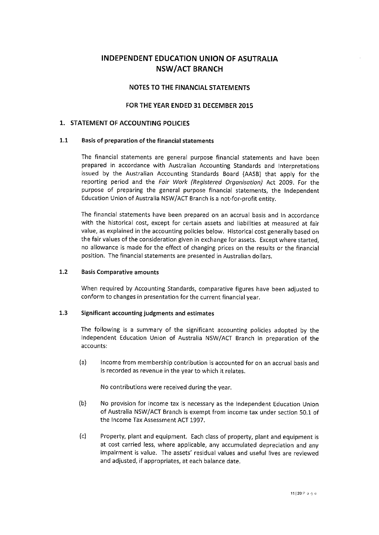## INDEPENDENT EDUCATION UNION OF AsuTRALiA NSW/ACT BRANCH

#### NOTES To THE FINANCIAL STATEMENTS

#### FOR THE YEAR ENDED 31 DECEMBER 2015

#### 1. STATEMENT OF ACCOUNTING POLICIES

#### 1.1 Basis of preparation of the financial statements

The financial statements are general purpose financial statements and have been prepared in accordance with Australian Accounting Standards and Interpretations issued by the Australian Accounting Standards Board (AASB) that apply for the reporting period and the Fair Work (Registered Organisation) Act 2009. For the purpose of preparing the general purpose financial statements, the Independent Education Union of Australia NSW/ACT Branch is a not-for-profit entity.

The financial statements have been prepared on an accrual basis and in accordance with the historical cost, except for certain assets and liabilities at measured at fair value, as explained in the accounting policies below. Historical cost generally based on the fair values of the consideration given in exchange for assets. Except where started, no allowance is made for the effect of changing prices on the results or the financial position. The financial statements are presented in Australian dollars.

#### Basis Comparative amounts 1.2

When required by Accounting Standards, comparative figures have been adjusted to conform to changes in presentation for the current financial year.

#### Significant accounting judgments and estimates 1.3

The following is a summary of the significant accounting policies adopted by the Independent Education Union of Australia NSW/ACT Branch in preparation of the accounts:

(a) Income from membership contribution is accounted for on an accrual basis and is recorded as revenue in the year to which it relates.

No contributions were received during the year.

- No provision for income tax is necessary as the Independent Education Union of Australia NSW/ACT Branch is exempt from income tax under section 50.1 of the Income Tax Assessment ACT 1997. (b)
- (c) Property, plant and equipment. Each class of property, plant and equipment is at cost carried less, where applicable, any accumulated depreciation and any impairment is value. The assets' residual values and useful lives are reviewed and adjusted, if appropriates, at each balance date.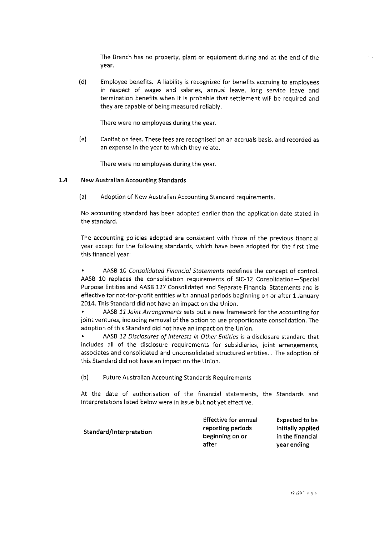The Branch has no property, plant or equipment during and at the end of the Year.

(d) Employee benefits. A liability is recognized for benefits accruing to employees in respect of wages and salaries, annual leave, long service leave and termination benefits when it is probable that settlement will be required and they are capable of being measured reliably.

There were no employees during the year.

(e) Capitation fees. These fees are recognised on an accruals basis, and recorded as an expense in the year to which they relate.

There were no employees during the year.

#### 1.4 New Australian Accounting Standards

(a) Adoption of New Australian Accounting Standard requirements.

No accounting standard has been adopted earlier than the application date stated in the standard,

The accounting policies adopted are consistent with those of the previous financial Year except for the following standards, which have been adopted for the first time this financial year:

AASB 10 Consolidated Financial Statements redefines the concept of control. AAS8 10 replaces the consolidation requirements of SIC-12 Consolidation-Special Purpose Entities and AASB 127 Consolidated and Separate Financial Statements and is effective for not-for-profit entities with annual periods beginning on or after I January 2014. This Standard did not have an impact on the Union. .

AASB 11 Joint Arrongements sets out a new framework for the accounting for joint ventures, including removal of the option to use proportionate consolidation. The adoption of this Standard did not have an impact on the Union. .

AASB 12 Disclosures of Interests in Other Entities is a disclosure standard that includes all of the disclosure requirements for subsidiaries, joint arrangements, associates and consolidated and unconsolidated structured entities, . The adoption of this Standard did not have an impact on the Union. .

(b) Future Australian Accounting Standards Requirements

At the date of authorisation of the financial statements, the Standards and Interpretations listed below were in issue but not yet effective.

| Standard/Interpretation | <b>Effective for annual</b> | <b>Expected to be</b> |
|-------------------------|-----------------------------|-----------------------|
|                         | reporting periods           | initially applied     |
|                         | beginning on or             | in the financial      |
|                         | after                       | vear ending           |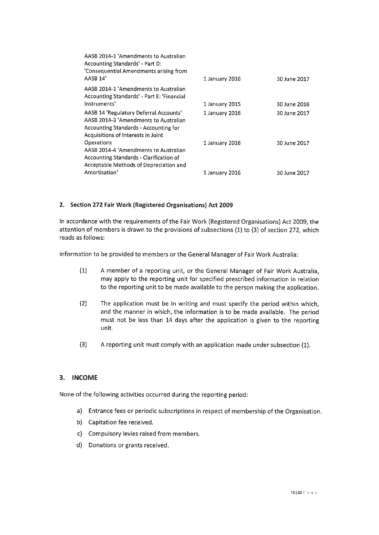| AASB 2014-1 'Amendments to Australian<br>Accounting Standards' - Part D:<br>'Consequential Amendments arising from<br>AASB 14'                                 | 1 January 2016 | 30 June 2017 |
|----------------------------------------------------------------------------------------------------------------------------------------------------------------|----------------|--------------|
| AASB 2014-1 'Amendments to Australian<br>Accounting Standards' - Part E: 'Financial<br>Instruments'                                                            | 1 January 2015 | 30 June 2016 |
| AASB 14 'Regulatory Deferral Accounts'<br>AASB 2014-3 'Amendments to Australian<br>Accounting Standards - Accounting for<br>Acquisitions of Interests in Joint | 1 January 2016 | 30 June 2017 |
| Operations<br>AASB 2014-4 'Amendments to Australian<br>Accounting Standards - Clarification of<br>Acceptable Methods of Depreciation and                       | 1 January 2016 | 30 June 2017 |
| Amortisation'                                                                                                                                                  | 1 January 2016 | 30 June 2017 |

#### 2. Section 272 Fair Work (Registered Organisations) Act 2009

In accordance with the requirements of the Fair Work (Registered Organisations) Act 2009, the attention of members is drawn to the provisions of subsections (1) to (3) of section 272, which reads as follows:

Information to be provided to members or the General Manager of Fair Work Australia:

- (1) A member of a reporting unit, or the General Manager of Fair Work Australia, may apply to the reporting unit for specified prescribed information in relation to the reporting unit to be made available to the person making the application.
- (2) The application must be in writing and must specify the period within which, and the manner in which, the information is to be made available. The period must not be less than 14 days after the application is given to the reporting unit.
- (3) A reporting unit must comply with an application made under subsection (1).

#### 3. INCOME

None of the following activities occurred during the reporting period:

- a) Entrance fees or periodic subscriptions in respect of membership of the Organisation.
- b) Capitation fee received.
- c) Compulsory levies raised from members.
- d) Donations or grants received.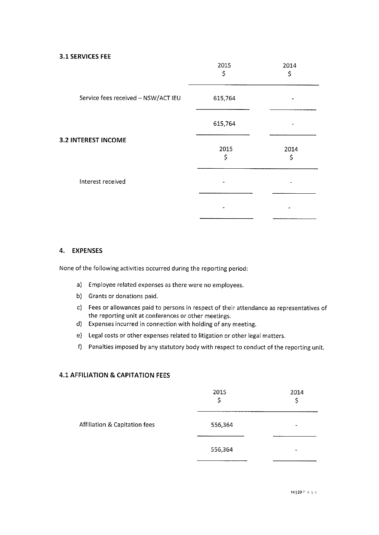#### 3.1 SERVICES FEE

|                                     | 2015<br>\$ | 2014<br>\$ |
|-------------------------------------|------------|------------|
| Service fees received - NSW/ACT IEU | 615,764    |            |
|                                     | 615,764    |            |
| <b>3.2 INTEREST INCOME</b>          | 2015<br>\$ | 2014<br>\$ |
| Interest received                   |            |            |
|                                     |            |            |

#### 4, EXPENSES

None of the following activities occurred during the reporting period:

- a) Employee related expenses as there were no employees,
- b) Grants or donations paid.
- c) Fees or allowances paid to persons in respect of their attendance as representatives of the reporting unit at conferences or other meetings.
- d) Expenses incurred in connection with holding of any meeting.
- e) Legal costs or other expenses related to litigation or other legal matters.
- f) Penalties imposed by any statutory body with respect to conduct of the reporting unit.

#### 4.1 AFFILIATION & CAPITATION FEES

|                               | 2015<br>\$ | 2014<br>\$ |
|-------------------------------|------------|------------|
| Affiliation & Capitation fees | 556,364    | ٠          |
|                               | 556,364    | -          |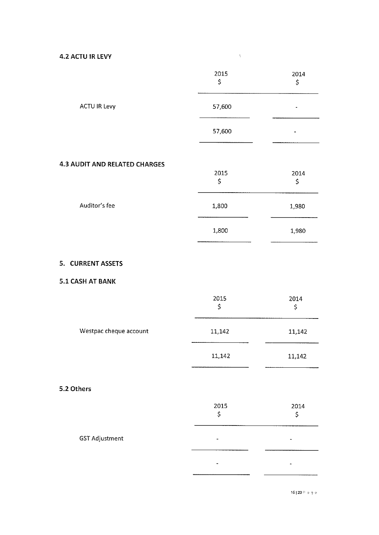4.2 ACTU IR LEW

|                                      | 2015<br>\$ | 2014<br>\$ |
|--------------------------------------|------------|------------|
| <b>ACTU IR Levy</b>                  | 57,600     |            |
|                                      | 57,600     |            |
| <b>4.3 AUDIT AND RELATED CHARGES</b> |            |            |
|                                      | 2015<br>\$ | 2014<br>\$ |
| Auditor's fee                        | 1,800      | 1,980      |
|                                      | 1,800      | 1,980      |
| 5. CURRENT ASSETS                    |            |            |
| 5.1 CASH AT BANK                     |            |            |
|                                      | 2015<br>\$ | 2014<br>\$ |
| Westpac cheque account               | 11,142     | 11,142     |
|                                      | 11,142     | 11,142     |
| 5.2 Others                           |            |            |
|                                      | 2015<br>\$ | 2014<br>\$ |
| <b>GST Adjustment</b>                |            |            |
|                                      |            |            |

 $\label{eq:2.1} \frac{1}{\sqrt{2}}\int_{0}^{\infty}\frac{1}{\sqrt{2}}\left(\frac{1}{\sqrt{2}}\right)^{2}d\mu\int_{0}^{\infty}\frac{1}{\sqrt{2}}\left(\frac{1}{\sqrt{2}}\right)^{2}d\mu\int_{0}^{\infty}\frac{1}{\sqrt{2}}\left(\frac{1}{\sqrt{2}}\right)^{2}d\mu\int_{0}^{\infty}\frac{1}{\sqrt{2}}\left(\frac{1}{\sqrt{2}}\right)^{2}d\mu\int_{0}^{\infty}\frac{1}{\sqrt{2}}\left(\frac{1}{\sqrt{2}}\right)^{2}d\mu\$ 

 $15120$  P angles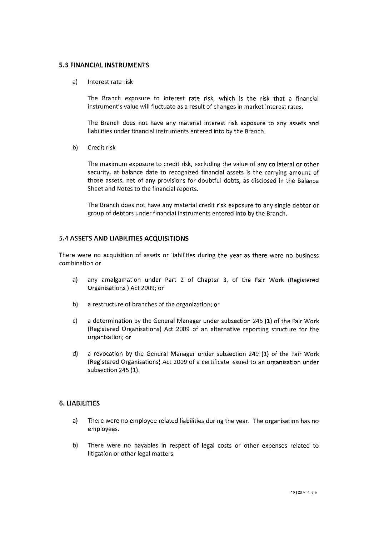#### 5.3 FINANCIALINSTRUMENTS

a) Interest rate risk

The Branch exposure to interest rate risk, which is the risk that a financial instrument's value will fluctuate as a result of changes in market interest rates.

The Branch does not have any material interest risk exposure to any assets and liabilities under financial instruments entered into by the Branch.

b) Credit risk

The maximum exposure to credit risk, excluding the value of any collateral or other security, at balance date to recognized financial assets is the carrying amount of those assets, net of any provisions for doubtful debts, as disclosed in the Balance Sheet and Notes to the financial reports.

The Branch does not have any material credit risk exposure to any single debtor or group of debtors under financial instruments entered into by the Branch.

#### 5.4 ASSETS AND LIABILITIES ACQUISITIONS

There were no acquisition of assets or liabilities during the year as there were no business combination or

- a) any amalgamation under Part 2 of Chapter 3, of the Fair Work (Registered Organisations ) Act 2009; or
- a restructure of branches of the organization; or b)
- a determination by the General Manager under subsection 245 (1) of the Fair Work (Registered Organisations) Act 2009 of an alternative reporting structure for the organisation; or c)
- a revocation by the General Manager under subsection 249 (1) of the Fair Work (Registered Organisations) Act 2009 of a certificate issued to an organisation under subsection 245 (1), d)

#### 6. LIABILITIES

- a) There were no employee related liabilities during the year. The organisation has no employees.
- There were no payables in respect of legal costs or other expenses related to litigation or other legal matters. b)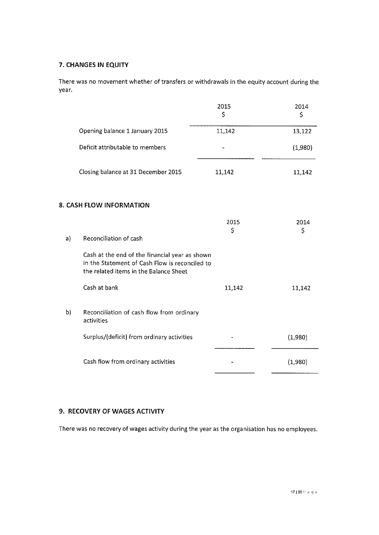#### 7. CHANGES IN EQUITY

There was no movement whether of transfers or withdrawals in the equity account during the year.

|    |                                                                                                                                            | 2015<br>\$ | 2014<br>\$ |
|----|--------------------------------------------------------------------------------------------------------------------------------------------|------------|------------|
|    | Opening balance 1 January 2015                                                                                                             | 11,142     | 13,122     |
|    | Deficit attributable to members                                                                                                            |            | (1,980)    |
|    | Closing balance at 31 December 2015                                                                                                        | 11,142     | 11,142     |
|    | 8. CASH FLOW INFORMATION                                                                                                                   |            |            |
|    |                                                                                                                                            | 2015<br>\$ | 2014<br>\$ |
| a) | Reconciliation of cash                                                                                                                     |            |            |
|    | Cash at the end of the financial year as shown<br>in the Statement of Cash Flow is reconciled to<br>the related items in the Balance Sheet |            |            |
|    | Cash at bank                                                                                                                               | 11,142     | 11,142     |
| b) | Reconciliation of cash flow from ordinary<br>activities                                                                                    |            |            |
|    | Surplus/(deficit) from ordinary activities                                                                                                 |            | (1,980)    |
|    | Cash flow from ordinary activities                                                                                                         |            | (1,980)    |

#### 9. RECOVERY OF WAGES ACTIVITY

There was no recovery of wages activity during the Year as the organisation has no employees,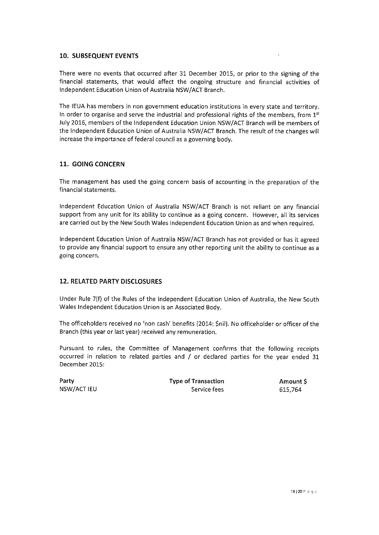#### 10. SUBSEQUENT EVENTS

There were no events that occurred after 31 December 2015, or prior to the signing of the financial statements, that would affect the ongoing structure and financial activities of Independent Education Union of Australia NSW/ACT Branch.

The IEUA has members in non government education institutions in every state and territory. In order to organise and serve the industrial and professional rights of the members, from  $1<sup>st</sup>$ July 2016, members of the Independent Education Union NSW/ACT Branch will be members of the Independent Education Union of Australia NSW/ACT Branch. The result of the changes will increase the importance of federal council as a governing body.

#### 11. GOING CONCERN

The management has used the going concern basis of accounting in the preparation of the financial statements.

Independent Education Union of Australia NSW/ACT Branch is not reliant on any financial support from any unit for its ability to continue as a going concern. However, all its services are carried out by the New South Wales Independent Education Union as and when required,

Independent Education Union of Australia NSW/ACT Branch has not provided or has it agreed to provide any financial support to ensure any other reporting unit the ability to continue as a going concern.

#### 12. RELATED PARTY DISCLOSURES

Under Rule 7(f) of the Rules of the Independent Education Union of Australia, the New South Wales Independent Education Union is an Associated Body.

The officeholders received no 'non cash' benefits (2014: \$nil). No officeholder or officer of the Branch (this Year or last year) received any remuneration.

Pursuant to rules, the Committee of Management confirms that the following receipts occurred in relation to related parties and  $/$  or declared parties for the year ended 31 December 2015:

Party NSW/ACT IEU Type of Transaction Service fees

Amount \$ 615,764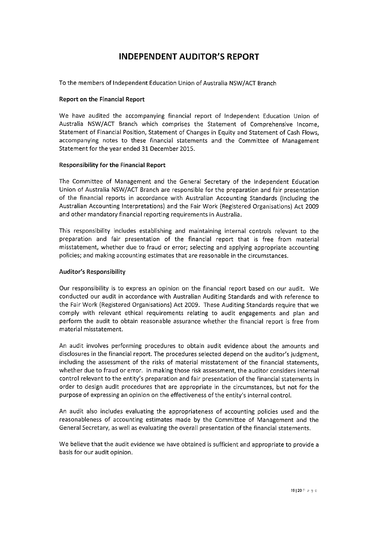## INDEPENDENT AUDITOR'S REPORT

To the members of Independent Education Union of Australia NSW/ACT Branch

#### Report on the Financial Report

We have audited the accompanying financial report of Independent Education Union of Australia NSW/ACT Branch which comprises the Statement of Comprehensive Income, Statement of Financial Position, Statement of Changes in Equity and Statement of Cash Flows, accompanying notes to these financial statements and the Committee of Management Statement for the year ended 31 December 2015.

#### Responsibility for the Financial Report

The Committee of Management and the General Secretary of the Independent Education Union of Australia NSW/ACT Branch are responsible for the preparation and fair presentation of the financial reports in accordance with Australian Accounting Standards (including the Australian Accounting Interpretations) and the Fair Work (Registered Organisations) Act 2009 and other mandatory financial reporting requirements in Australia.

This responsibility includes establishing and maintaining internal controls relevant to the preparation and fair presentation of the financial report that is free from material misstatement, whether due to fraud or error; selecting and applying appropriate accounting policies; and making accounting estimates that are reasonable in the circumstances.

#### Auditor's Responsibility

Our responsibility is to express an opinion on the financial report based on our audit. We conducted our audit in accordance with Australian Auditing Standards and with reference to the Fair Work (Registered Organisations) Act 2009. These Auditing Standards require that we comply with relevant ethical requirements relating to audit engagements and plan and perform the audit to obtain reasonable assurance whether the financial report is free from material misstatement.

An audit involves performing procedures to obtain audit evidence about the amounts and disclosures in the financial report. The procedures selected depend on the auditor's judgment, including the assessment of the risks of material misstatement of the financial statements, whether due to fraud or error. In making those risk assessment, the auditor considers internal control relevant to the entity's preparation and fair presentation of the financial statements in order to design audit procedures that are appropriate in the circumstances, but not for the purpose of expressing an opinion on the effectiveness of the entity's internal control.

An audit also includes evaluating the appropriateness of accounting policies used and the reasonableness of accounting estimates made by the Committee of Management and the General Secretary, as well as evaluating the overall presentation of the financial statements.

We believe that the audit evidence we have obtained is sufficient and appropriate to provide a basis for our audit opinion.